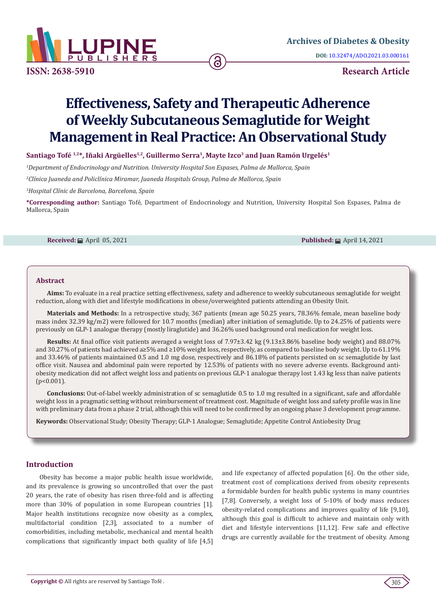

**ISSN: 2638-5910 Research Article**

# **Effectiveness, Safety and Therapeutic Adherence of Weekly Subcutaneous Semaglutide for Weight Management in Real Practice: An Observational Study**

# Santiago Tofé<sup>1,2\*</sup>, Iñaki Argüelles<sup>1,2</sup>, Guillermo Serra<sup>1</sup>, Mayte Izco<sup>3</sup> and Juan Ramón Urgelés<sup>1</sup>

*1 Department of Endocrinology and Nutrition. University Hospital Son Espases, Palma de Mallorca, Spain*

*2 Clínica Juaneda and Policlínica Miramar, Juaneda Hospitals Group, Palma de Mallorca, Spain*

*3 Hospital Clínic de Barcelona, Barcelona, Spain*

**\*Corresponding author:** Santiago Tofé, Department of Endocrinology and Nutrition, University Hospital Son Espases, Palma de Mallorca, Spain

**Received:** April 05, 2021 **Published:** April 14, 2021

#### **Abstract**

**Aims:** To evaluate in a real practice setting effectiveness, safety and adherence to weekly subcutaneous semaglutide for weight reduction, along with diet and lifestyle modifications in obese/overweighted patients attending an Obesity Unit.

**Materials and Methods:** In a retrospective study, 367 patients (mean age 50.25 years, 78.36% female, mean baseline body mass index 32.39 kg/m2) were followed for 10.7 months (median) after initiation of semaglutide. Up to 24.25% of patients were previously on GLP-1 analogue therapy (mostly liraglutide) and 36.26% used background oral medication for weight loss.

**Results:** At final office visit patients averaged a weight loss of 7.97±3.42 kg (9.13±3.86% baseline body weight) and 88.07% and 30.27% of patients had achieved a≥5% and ≥10% weight loss, respectively, as compared to baseline body weight. Up to 61.19% and 33.46% of patients maintained 0.5 and 1.0 mg dose, respectively and 86.18% of patients persisted on sc semaglutide by last office visit. Nausea and abdominal pain were reported by 12.53% of patients with no severe adverse events. Background antiobesity medication did not affect weight loss and patients on previous GLP-1 analogue therapy lost 1.43 kg less than naïve patients  $(p<0.001)$ .

**Conclusions:** Out-of-label weekly administration of sc semaglutide 0.5 to 1.0 mg resulted in a significant, safe and affordable weight loss in a pragmatic setting without reimbursement of treatment cost. Magnitude of weight loss and safety profile was in line with preliminary data from a phase 2 trial, although this will need to be confirmed by an ongoing phase 3 development programme.

**Keywords:** Observational Study; Obesity Therapy; GLP-1 Analogue; Semaglutide; Appetite Control Antiobesity Drug

## **Introduction**

 Obesity has become a major public health issue worldwide, and its prevalence is growing so uncontrolled that over the past 20 years, the rate of obesity has risen three-fold and is affecting more than 30% of population in some European countries [1]. Major health institutions recognize now obesity as a complex, multifactorial condition [2,3], associated to a number of comorbidities, including metabolic, mechanical and mental health complications that significantly impact both quality of life [4,5]

and life expectancy of affected population [6]. On the other side, treatment cost of complications derived from obesity represents a formidable burden for health public systems in many countries [7,8]. Conversely, a weight loss of 5-10% of body mass reduces obesity-related complications and improves quality of life [9,10], although this goal is difficult to achieve and maintain only with diet and lifestyle interventions [11,12]. Few safe and effective drugs are currently available for the treatment of obesity. Among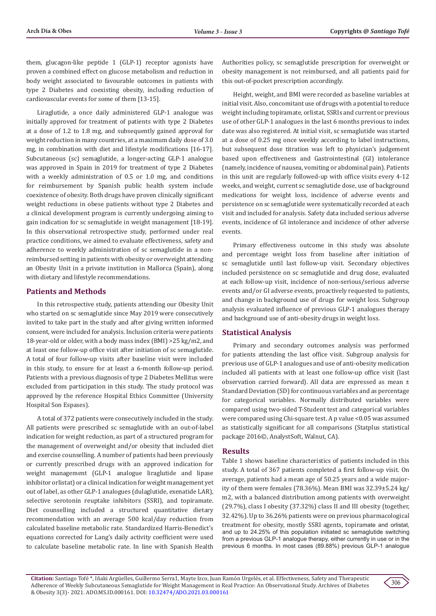them, glucagon-like peptide 1 (GLP-1) receptor agonists have proven a combined effect on glucose metabolism and reduction in body weight associated to favourable outcomes in patients with type 2 Diabetes and coexisting obesity, including reduction of cardiovascular events for some of them [13-15].

Liraglutide, a once daily administered GLP-1 analogue was initially approved for treatment of patients with type 2 Diabetes at a dose of 1.2 to 1.8 mg, and subsequently gained approval for weight reduction in many countries, at a maximum daily dose of 3.0 mg, in combination with diet and lifestyle modifications [16-17]. Subcutaneous (sc) semaglutide, a longer-acting GLP-1 analogue was approved in Spain in 2019 for treatment of type 2 Diabetes with a weekly administration of 0.5 or 1.0 mg, and conditions for reimbursement by Spanish public health system include coexistence of obesity. Both drugs have proven clinically significant weight reductions in obese patients without type 2 Diabetes and a clinical development program is currently undergoing aiming to gain indication for sc semaglutide in weight management [18-19]. In this observational retrospective study, performed under real practice conditions, we aimed to evaluate effectiveness, safety and adherence to weekly administration of sc semaglutide in a nonreimbursed setting in patients with obesity or overweight attending an Obesity Unit in a private institution in Mallorca (Spain), along with dietary and lifestyle recommendations.

## **Patients and Methods**

In this retrospective study, patients attending our Obesity Unit who started on sc semaglutide since May 2019 were consecutively invited to take part in the study and after giving written informed consent, were included for analysis. Inclusion criteria were patients 18-year-old or older, with a body mass index (BMI) >25 kg/m2, and at least one follow-up office visit after initiation of sc semaglutide. A total of four follow-up visits after baseline visit were included in this study, to ensure for at least a 6-month follow-up period. Patients with a previous diagnosis of type 2 Diabetes Mellitus were excluded from participation in this study. The study protocol was approved by the reference Hospital Ethics Committee (University Hospital Son Espases).

A total of 372 patients were consecutively included in the study. All patients were prescribed sc semaglutide with an out-of-label indication for weight reduction, as part of a structured program for the management of overweight and/or obesity that included diet and exercise counselling. A number of patients had been previously or currently prescribed drugs with an approved indication for weight management (GLP-1 analogue liraglutide and lipase inhibitor orlistat) or a clinical indication for weight management yet out of label, as other GLP-1 analogues (dulaglutide, exenatide LAR), selective serotonin reuptake inhibitors (SSRI), and topiramate. Diet counselling included a structured quantitative dietary recommendation with an average 500 kcal/day reduction from calculated baseline metabolic rate. Standardized Harris-Benedict's equations corrected for Lang's daily activity coefficient were used to calculate baseline metabolic rate. In line with Spanish Health

Authorities policy, sc semaglutide prescription for overweight or obesity management is not reimbursed, and all patients paid for this out-of-pocket prescription accordingly.

Height, weight, and BMI were recorded as baseline variables at initial visit. Also, concomitant use of drugs with a potential to reduce weight including topiramate, orlistat, SSRIs and current or previous use of other GLP-1 analogues in the last 6 months previous to index date was also registered. At initial visit, sc semaglutide was started at a dose of 0.25 mg once weekly according to label instructions, but subsequent dose titration was left to physician's judgement based upon effectiveness and Gastrointestinal (GI) intolerance (namely, incidence of nausea, vomiting or abdominal pain). Patients in this unit are regularly followed-up with office visits every 4-12 weeks, and weight, current sc semaglutide dose, use of background medications for weight loss, incidence of adverse events and persistence on sc semaglutide were systematically recorded at each visit and included for analysis. Safety data included serious adverse events, incidence of GI intolerance and incidence of other adverse events.

Primary effectiveness outcome in this study was absolute and percentage weight loss from baseline after initiation of sc semaglutide until last follow-up visit. Secondary objectives included persistence on sc semaglutide and drug dose, evaluated at each follow-up visit, incidence of non-serious/serious adverse events and/or GI adverse events, proactively requested to patients, and change in background use of drugs for weight loss. Subgroup analysis evaluated influence of previous GLP-1 analogues therapy and background use of anti-obesity drugs in weight loss.

## **Statistical Analysis**

Primary and secondary outcomes analysis was performed for patients attending the last office visit. Subgroup analysis for previous use of GLP-1 analogues and use of anti-obesity medication included all patients with at least one follow-up office visit (last observation carried forward). All data are expressed as mean ± Standard Deviation (SD) for continuous variables and as percentage for categorical variables. Normally distributed variables were compared using two-sided T-Student test and categorical variables were compared using Chi-square test. A p value <0.05 was assumed as statistically significant for all comparisons (Statplus statistical package 2016©, AnalystSoft, Walnut, CA).

## **Results**

Table 1 shows baseline characteristics of patients included in this study. A total of 367 patients completed a first follow-up visit. On average, patients had a mean age of 50.25 years and a wide majority of them were females (78.36%). Mean BMI was 32.39±5.24 kg/ m2, with a balanced distribution among patients with overweight (29.7%), class I obesity (37.32%) class II and III obesity (together, 32.42%). Up to 36.26% patients were on previous pharmacological treatment for obesity, mostly SSRI agents, topiramate and orlistat, and up to 24.25% of this population initiated sc semaglutide switching from a previous GLP-1 analogue therapy, either currently in use or in the previous 6 months. In most cases (89.88%) previous GLP-1 analogue

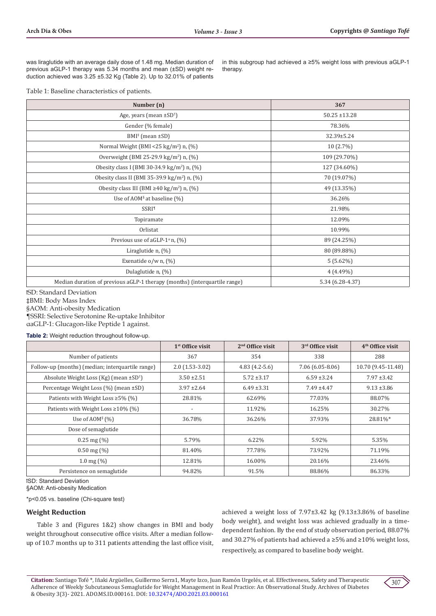was liraglutide with an average daily dose of 1.48 mg. Median duration of previous aGLP-1 therapy was 5.34 months and mean (±SD) weight reduction achieved was 3.25 ±5.32 Kg (Table 2). Up to 32.01% of patients

in this subgroup had achieved a ≥5% weight loss with previous aGLP-1 therapy.

Table 1: Baseline characteristics of patients.

| Number (n)                                                                | 367               |
|---------------------------------------------------------------------------|-------------------|
| Age, years (mean $\pm SD^1$ )                                             | $50.25 \pm 13.28$ |
| Gender (% female)                                                         | 78.36%            |
| $BMI^*$ (mean $\pm SD$ )                                                  | 32.39±5.24        |
| Normal Weight (BMI <25 kg/m <sup>2</sup> ) n, (%)                         | $10(2.7\%)$       |
| Overweight (BMI 25-29.9 kg/m <sup>2</sup> ) n, (%)                        | 109 (29.70%)      |
| Obesity class I (BMI 30-34.9 kg/m <sup>2</sup> ) n, $(\%)$                | 127 (34.60%)      |
| Obesity class II (BMI 35-39.9 kg/m <sup>2</sup> ) n, (%)                  | 70 (19.07%)       |
| Obesity class III (BMI $\geq 40 \text{ kg/m}^2$ ) n, (%)                  | 49 (13.35%)       |
| Use of AOM <sup>§</sup> at baseline $(\%)$                                | 36.26%            |
| <b>SSRI</b> <sup>1</sup>                                                  | 21.98%            |
| Topiramate                                                                | 12.09%            |
| Orlistat                                                                  | 10.99%            |
| Previous use of aGLP- $1^\alpha$ n, $(\%)$                                | 89 (24.25%)       |
| Liraglutide $n$ , $(\%)$                                                  | 80 (89.88%)       |
| Exenatide o/w n, (%)                                                      | $5(5.62\%)$       |
| Dulaglutide n, (%)                                                        | $4(4.49\%)$       |
| Median duration of previous aGLP-1 therapy (months) (interquartile range) | 5.34 (6.28-4.37)  |

ꝉSD: Standard Deviation ‡BMI: Body Mass Index §AOM: Anti-obesity Medication ¶SSRI: Selective Serotonine Re-uptake Inhibitor αaGLP-1: Glucagon-like Peptide 1 against.

**Table 2:** Weight reduction throughout follow-up.

|                                                  | $1st$ Office visit       | $2nd$ Office visit | 3 <sup>rd</sup> Office visit | 4 <sup>th</sup> Office visit |
|--------------------------------------------------|--------------------------|--------------------|------------------------------|------------------------------|
| Number of patients                               | 367                      | 354                | 338                          | 288                          |
| Follow-up (months) (median; interquartile range) | $2.0(1.53-3.02)$         | $4.83(4.2-5.6)$    | 7.06 (6.05-8.06)             | 10.70 (9.45-11.48)           |
| Absolute Weight Loss (Kg) (mean $\pm SD^1$ )     | $3.50 \pm 2.51$          | $5.72 \pm 3.17$    | $6.59 \pm 3.24$              | $7.97 \pm 3.42$              |
| Percentage Weight Loss (%) (mean ±SD)            | $3.97 \pm 2.64$          | $6.49 \pm 3.31$    | $7.49 \pm 4.47$              | $9.13 \pm 3.86$              |
| Patients with Weight Loss $\geq$ 5% (%)          | 28.81%                   | 62.69%             | 77.03%                       | 88.07%                       |
| Patients with Weight Loss $\geq 10\%$ (%)        | $\overline{\phantom{a}}$ | 11.92%             | 16.25%                       | 30.27%                       |
| Use of $AOM^s(\%)$                               | 36.78%                   | 36.26%             | 37.93%                       | 28.81%*                      |
| Dose of semaglutide                              |                          |                    |                              |                              |
| $0.25$ mg $(\%)$                                 | 5.79%                    | 6.22%              | 5.92%                        | 5.35%                        |
| $0.50 \text{ mg } (\%)$                          | 81.40%                   | 77.78%             | 73.92%                       | 71.19%                       |
| $1.0 \,\mathrm{mg}$ (%)                          | 12.81%                   | 16.00%             | 20.16%                       | 23.46%                       |
| Persistence on semaglutide                       | 94.82%                   | 91.5%              | 88.86%                       | 86.33%                       |

ꝉSD: Standard Deviation

§AOM: Anti-obesity Medication

\*p<0.05 vs. baseline (Chi-square test)

#### **Weight Reduction**

Table 3 and (Figures 1&2) show changes in BMI and body weight throughout consecutive office visits. After a median followup of 10.7 months up to 311 patients attending the last office visit, achieved a weight loss of 7.97±3.42 kg (9.13±3.86% of baseline body weight), and weight loss was achieved gradually in a timedependent fashion. By the end of study observation period, 88.07% and 30.27% of patients had achieved a ≥5% and ≥10% weight loss, respectively, as compared to baseline body weight.

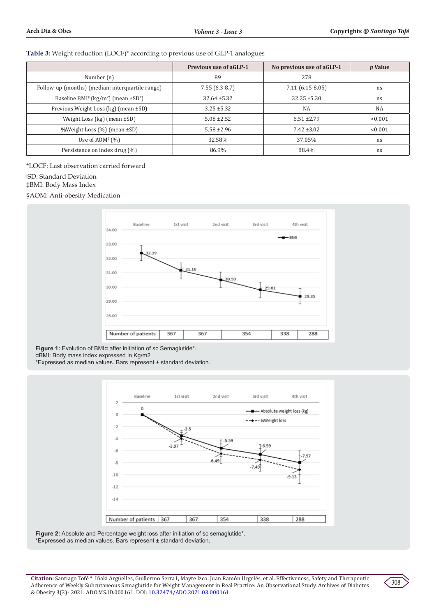#### **Table 3:** Weight reduction (LOCF)\* according to previous use of GLP-1 analogues

|                                                                              | <b>Previous use of aGLP-1</b><br>No previous use of aGLP-1 |                   | <i>p</i> Value |
|------------------------------------------------------------------------------|------------------------------------------------------------|-------------------|----------------|
| Number (n)                                                                   | 89                                                         | 278               |                |
| Follow-up (months) (median; interquartile range)                             | $7.55(6.3-8.7)$                                            | $7.11(6.15-8.05)$ | ns             |
| Baseline BMI <sup>‡</sup> (kg/m <sup>2</sup> ) (mean $\pm$ SD <sup>1</sup> ) | $32.64 \pm 5.32$                                           | $32.25 \pm 5.30$  | ns             |
| Previous Weight Loss (kg) (mean ±SD)                                         | $3.25 \pm 5.32$                                            | <b>NA</b>         | <b>NA</b>      |
| Weight Loss (kg) (mean $\pm$ SD)                                             | $5.08 \pm 2.52$                                            | $6.51 \pm 2.79$   | < 0.001        |
| %Weight Loss (%) (mean ±SD)                                                  | $5.58 \pm 2.96$                                            | $7.42 \pm 3.02$   | < 0.001        |
| Use of $AOM^s(%)$                                                            | 32.58%                                                     | 37.05%            | ns             |
| Persistence on index drug (%)                                                | 86.9%                                                      | 88.4%             | ns             |

\*LOCF: Last observation carried forward

ꝉSD: Standard Deviation

‡BMI: Body Mass Index

§AOM: Anti-obesity Medication



**Figure 1:** Evolution of BMIα after initiation of sc Semaglutide\*. αBMI: Body mass index expressed in Kg/m2

\*Expressed as median values. Bars represent ± standard deviation.



**Figure 2:** Absolute and Percentage weight loss after initiation of sc semaglutide\*. \*Expressed as median values. Bars represent ± standard deviation.

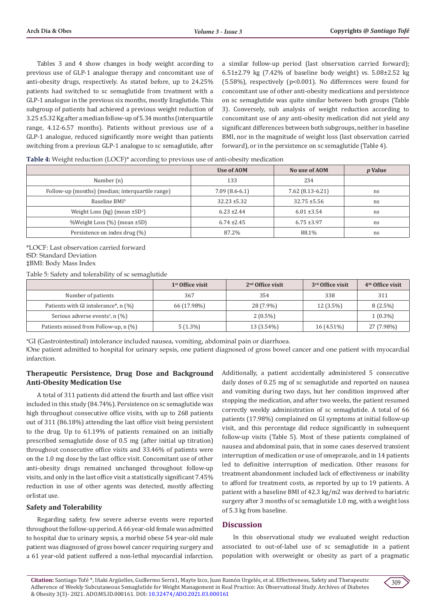Tables 3 and 4 show changes in body weight according to previous use of GLP-1 analogue therapy and concomitant use of anti-obesity drugs, respectively. As stated before, up to 24.25% patients had switched to sc semaglutide from treatment with a GLP-1 analogue in the previous six months, mostly liraglutide. This subgroup of patients had achieved a previous weight reduction of 3.25 ±5.32 Kg after a median follow-up of 5.34 months (interquartile range, 4.12-6.57 months). Patients without previous use of a GLP-1 analogue, reduced significantly more weight than patients switching from a previous GLP-1 analogue to sc semaglutide, after

a similar follow-up period (last observation carried forward); 6.51±2.79 kg (7.42% of baseline body weight) vs. 5.08±2.52 kg (5.58%), respectively (p<0.001). No differences were found for concomitant use of other anti-obesity medications and persistence on sc semaglutide was quite similar between both groups (Table 3). Conversely, sub analysis of weight reduction according to concomitant use of any anti-obesity medication did not yield any significant differences between both subgroups, neither in baseline BMI, nor in the magnitude of weight loss (last observation carried forward), or in the persistence on sc semaglutide (Table 4).

| Table 4: Weight reduction (LOCF)* according to previous use of anti-obesity medication |  |  |  |
|----------------------------------------------------------------------------------------|--|--|--|
|                                                                                        |  |  |  |

|                                                  | Use of AOM       | No use of AOM     | <i>p</i> Value |
|--------------------------------------------------|------------------|-------------------|----------------|
| Number (n)                                       | 133              | 234               |                |
| Follow-up (months) (median; interquartile range) | $7.09(8.6-6.1)$  | $7.62(8.13-6.21)$ | ns             |
| Baseline BMI <sup>‡</sup>                        | $32.23 \pm 5.32$ | $32.75 \pm 5.56$  | ns             |
| Weight Loss (kg) (mean $\pm SD^1$ )              | $6.23 \pm 2.44$  | $6.01 \pm 3.54$   | ns             |
| %Weight Loss (%) (mean ±SD)                      | $6.74 \pm 2.45$  | $6.75 \pm 3.97$   | ns             |
| Persistence on index drug (%)                    | 87.2%            | 88.1%             | ns             |

\*LOCF: Last observation carried forward ꝉSD: Standard Deviation ‡BMI: Body Mass Index

Table 5: Safety and tolerability of sc semaglutide

|                                                | $1st$ Office visit | $2nd$ Office visit | 3 <sup>rd</sup> Office visit | $4th$ Office visit |
|------------------------------------------------|--------------------|--------------------|------------------------------|--------------------|
| Number of patients                             | 367                | 354                | 338                          | 311                |
| Patients with GI intolerance*, n (%)           | 66 (17.98%)        | 28 (7.9%)          | $12(3.5\%)$                  | $8(2.5\%)$         |
| Serious adverse events <sup>1</sup> , n $(\%)$ |                    | $2(0.5\%)$         |                              | $1(0.3\%)$         |
| Patients missed from Follow-up, n (%)          | $5(1.3\%)$         | 13 (3.54%)         | $16(4.51\%)$                 | 27 (7.98%)         |

\*GI (Gastrointestinal) intolerance included nausea, vomiting, abdominal pain or diarrhoea.

ꝉOne patient admitted to hospital for urinary sepsis, one patient diagnosed of gross bowel cancer and one patient with myocardial infarction.

## **Therapeutic Persistence, Drug Dose and Background Anti-Obesity Medication Use**

A total of 311 patients did attend the fourth and last office visit included in this study (84.74%). Persistence on sc semaglutide was high throughout consecutive office visits, with up to 268 patients out of 311 (86.18%) attending the last office visit being persistent to the drug. Up to 61.19% of patients remained on an initially prescribed semaglutide dose of 0.5 mg (after initial up titration) throughout consecutive office visits and 33.46% of patients were on the 1.0 mg dose by the last office visit. Concomitant use of other anti-obesity drugs remained unchanged throughout follow-up visits, and only in the last office visit a statistically significant 7.45% reduction in use of other agents was detected, mostly affecting orlistat use.

# **Safety and Tolerability**

Regarding safety, few severe adverse events were reported throughout the follow-up period. A 66 year-old female was admitted to hospital due to urinary sepsis, a morbid obese 54 year-old male patient was diagnosed of gross bowel cancer requiring surgery and a 61 year-old patient suffered a non-lethal myocardial infarction.

Additionally, a patient accidentally administered 5 consecutive daily doses of 0.25 mg of sc semaglutide and reported on nausea and vomiting during two days, but her condition improved after stopping the medication, and after two weeks, the patient resumed correctly weekly administration of sc semaglutide. A total of 66 patients (17.98%) complained on GI symptoms at initial follow-up visit, and this percentage did reduce significantly in subsequent follow-up visits (Table 5). Most of these patients complained of nausea and abdominal pain, that in some cases deserved transient interruption of medication or use of omeprazole, and in 14 patients led to definitive interruption of medication. Other reasons for treatment abandonment included lack of effectiveness or inability to afford for treatment costs, as reported by up to 19 patients. A patient with a baseline BMI of 42.3 kg/m2 was derived to bariatric surgery after 3 months of sc semaglutide 1.0 mg, with a weight loss of 5.3 kg from baseline.

## **Discussion**

In this observational study we evaluated weight reduction associated to out-of-label use of sc semaglutide in a patient population with overweight or obesity as part of a pragmatic

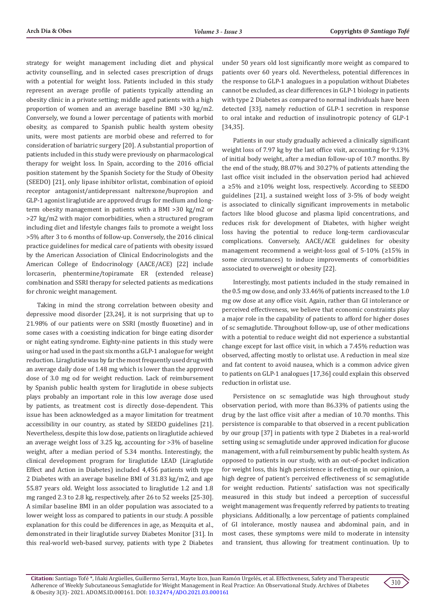strategy for weight management including diet and physical activity counselling, and in selected cases prescription of drugs with a potential for weight loss. Patients included in this study represent an average profile of patients typically attending an obesity clinic in a private setting; middle aged patients with a high proportion of women and an average baseline BMI >30 kg/m2. Conversely, we found a lower percentage of patients with morbid obesity, as compared to Spanish public health system obesity units, were most patients are morbid obese and referred to for consideration of bariatric surgery [20]. A substantial proportion of patients included in this study were previously on pharmacological therapy for weight loss. In Spain, according to the 2016 official position statement by the Spanish Society for the Study of Obesity (SEEDO) [21], only lipase inhibitor orlistat, combination of opioid receptor antagonist/antidepressant naltrexone/bupropion and GLP-1 agonist liraglutide are approved drugs for medium and longterm obesity management in patients with a BMI >30 kg/m2 or >27 kg/m2 with major comorbidities, when a structured program including diet and lifestyle changes fails to promote a weight loss >5% after 3 to 6 months of follow-up. Conversely, the 2016 clinical practice guidelines for medical care of patients with obesity issued by the American Association of Clinical Endocrinologists and the American College of Endocrinology (AACE/ACE) [22] include lorcaserin, phentermine/topiramate ER (extended release) combination and SSRI therapy for selected patients as medications for chronic weight management.

Taking in mind the strong correlation between obesity and depressive mood disorder [23,24], it is not surprising that up to 21.98% of our patients were on SSRI (mostly fluoxetine) and in some cases with a coexisting indication for binge eating disorder or night eating syndrome. Eighty-nine patients in this study were using or had used in the past six months a GLP-1 analogue for weight reduction. Liraglutide was by far the most frequently used drug with an average daily dose of 1.48 mg which is lower than the approved dose of 3.0 mg od for weight reduction. Lack of reimbursement by Spanish public health system for liraglutide in obese subjects plays probably an important role in this low average dose used by patients, as treatment cost is directly dose-dependent. This issue has been acknowledged as a mayor limitation for treatment accessibility in our country, as stated by SEEDO guidelines [21]. Nevertheless, despite this low dose, patients on liraglutide achieved an average weight loss of 3.25 kg, accounting for >3% of baseline weight, after a median period of 5.34 months. Interestingly, the clinical development program for liraglutide LEAD (Liraglutide Effect and Action in Diabetes) included 4,456 patients with type 2 Diabetes with an average baseline BMI of 31.83 kg/m2, and age 55.87 years old. Weight loss associated to liraglutide 1.2 and 1.8 mg ranged 2.3 to 2.8 kg, respectively, after 26 to 52 weeks [25-30]. A similar baseline BMI in an older population was associated to a lower weight loss as compared to patients in our study. A possible explanation for this could be differences in age, as Mezquita et al., demonstrated in their liraglutide survey Diabetes Monitor [31]. In this real-world web-based survey, patients with type 2 Diabetes

under 50 years old lost significantly more weight as compared to patients over 60 years old. Nevertheless, potential differences in the response to GLP-1 analogues in a population without Diabetes cannot be excluded, as clear differences in GLP-1 biology in patients with type 2 Diabetes as compared to normal individuals have been detected [33], namely reduction of GLP-1 secretion in response to oral intake and reduction of insulinotropic potency of GLP-1 [34,35].

Patients in our study gradually achieved a clinically significant weight loss of 7.97 kg by the last office visit, accounting for 9.13% of initial body weight, after a median follow-up of 10.7 months. By the end of the study, 88.07% and 30.27% of patients attending the last office visit included in the observation period had achieved a ≥5% and ≥10% weight loss, respectively. According to SEEDO guidelines [21], a sustained weight loss of 3-5% of body weight is associated to clinically significant improvements in metabolic factors like blood glucose and plasma lipid concentrations, and reduces risk for development of Diabetes, with higher weight loss having the potential to reduce long-term cardiovascular complications. Conversely, AACE/ACE guidelines for obesity management recommend a weight-loss goal of 5-10% (≥15% in some circumstances) to induce improvements of comorbidities associated to overweight or obesity [22].

Interestingly, most patients included in the study remained in the 0.5 mg ow dose, and only 33.46% of patients increased to the 1.0 mg ow dose at any office visit. Again, rather than GI intolerance or perceived effectiveness, we believe that economic constraints play a major role in the capability of patients to afford for higher doses of sc semaglutide. Throughout follow-up, use of other medications with a potential to reduce weight did not experience a substantial change except for last office visit, in which a 7.45% reduction was observed, affecting mostly to orlistat use. A reduction in meal size and fat content to avoid nausea, which is a common advice given to patients on GLP-1 analogues [17,36] could explain this observed reduction in orlistat use.

Persistence on sc semaglutide was high throughout study observation period, with more than 86.33% of patients using the drug by the last office visit after a median of 10.70 months. This persistence is comparable to that observed in a recent publication by our group [37] in patients with type 2 Diabetes in a real-world setting using sc semaglutide under approved indication for glucose management, with a full reimbursement by public health system. As opposed to patients in our study, with an out-of-pocket indication for weight loss, this high persistence is reflecting in our opinion, a high degree of patient's perceived effectiveness of sc semaglutide for weight reduction. Patients' satisfaction was not specifically measured in this study but indeed a perception of successful weight management was frequently referred by patients to treating physicians. Additionally, a low percentage of patients complained of GI intolerance, mostly nausea and abdominal pain, and in most cases, these symptoms were mild to moderate in intensity and transient, thus allowing for treatment continuation. Up to

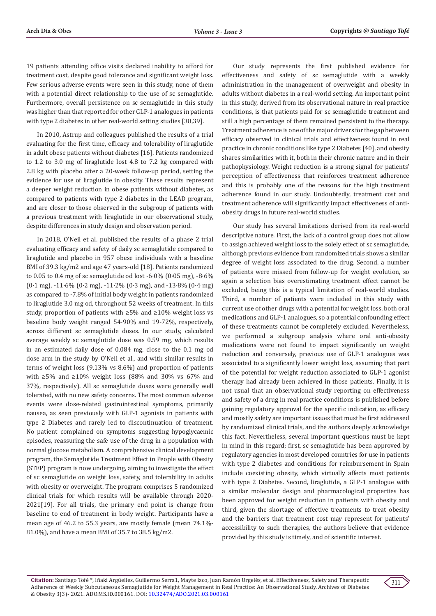19 patients attending office visits declared inability to afford for treatment cost, despite good tolerance and significant weight loss. Few serious adverse events were seen in this study, none of them with a potential direct relationship to the use of sc semaglutide. Furthermore, overall persistence on sc semaglutide in this study was higher than that reported for other GLP-1 analogues in patients with type 2 diabetes in other real-world setting studies [38,39].

In 2010, Astrup and colleagues published the results of a trial evaluating for the first time, efficacy and tolerability of liraglutide in adult obese patients without diabetes [16]. Patients randomized to 1.2 to 3.0 mg of liraglutide lost 4.8 to 7.2 kg compared with 2.8 kg with placebo after a 20-week follow-up period, setting the evidence for use of liraglutide in obesity. These results represent a deeper weight reduction in obese patients without diabetes, as compared to patients with type 2 diabetes in the LEAD program, and are closer to those observed in the subgroup of patients with a previous treatment with liraglutide in our observational study, despite differences in study design and observation period.

In 2018, O'Neil et al. published the results of a phase 2 trial evaluating efficacy and safety of daily sc semaglutide compared to liraglutide and placebo in 957 obese individuals with a baseline BMI of 39.3 kg/m2 and age 47 years-old [18]. Patients randomized to 0.05 to 0.4 mg of sc semaglutide od lost -6·0% (0·05 mg), -8·6%  $(0.1 \text{ mg})$ ,  $-11.6\%$  (0.2 mg),  $-11.2\%$  (0.3 mg), and  $-13.8\%$  (0.4 mg) as compared to -7.8% of initial body weight in patients randomized to liraglutide 3.0 mg od, throughout 52 weeks of treatment. In this study, proportion of patients with ≥5% and ≥10% weight loss vs baseline body weight ranged 54-90% and 19-72%, respectively, across different sc semaglutide doses. In our study, calculated average weekly sc semaglutide dose was 0.59 mg, which results in an estimated daily dose of 0.084 mg, close to the 0.1 mg od dose arm in the study by O'Neil et al., and with similar results in terms of weight loss (9.13% vs 8.6%) and proportion of patients with  $\geq 5\%$  and  $\geq 10\%$  weight loss (88% and 30% vs 67% and 37%, respectively). All sc semaglutide doses were generally well tolerated, with no new safety concerns. The most common adverse events were dose-related gastrointestinal symptoms, primarily nausea, as seen previously with GLP-1 agonists in patients with type 2 Diabetes and rarely led to discontinuation of treatment. No patient complained on symptoms suggesting hypoglycaemic episodes, reassuring the safe use of the drug in a population with normal glucose metabolism. A comprehensive clinical development program, the Semaglutide Treatment Effect in People with Obesity (STEP) program is now undergoing, aiming to investigate the effect of sc semaglutide on weight loss, safety, and tolerability in adults with obesity or overweight. The program comprises 5 randomized clinical trials for which results will be available through 2020- 2021[19]. For all trials, the primary end point is change from baseline to end of treatment in body weight. Participants have a mean age of 46.2 to 55.3 years, are mostly female (mean 74.1%- 81.0%), and have a mean BMI of 35.7 to 38.5 kg/m2.

Our study represents the first published evidence for effectiveness and safety of sc semaglutide with a weekly administration in the management of overweight and obesity in adults without diabetes in a real-world setting. An important point in this study, derived from its observational nature in real practice conditions, is that patients paid for sc semaglutide treatment and still a high percentage of them remained persistent to the therapy. Treatment adherence is one of the major drivers for the gap between efficacy observed in clinical trials and effectiveness found in real practice in chronic conditions like type 2 Diabetes [40], and obesity shares similarities with it, both in their chronic nature and in their pathophysiology. Weight reduction is a strong signal for patients' perception of effectiveness that reinforces treatment adherence and this is probably one of the reasons for the high treatment adherence found in our study. Undoubtedly, treatment cost and treatment adherence will significantly impact effectiveness of antiobesity drugs in future real-world studies.

Our study has several limitations derived from its real-world descriptive nature. First, the lack of a control group does not allow to assign achieved weight loss to the solely effect of sc semaglutide, although previous evidence from randomized trials shows a similar degree of weight loss associated to the drug. Second, a number of patients were missed from follow-up for weight evolution, so again a selection bias overestimating treatment effect cannot be excluded, being this is a typical limitation of real-world studies. Third, a number of patients were included in this study with current use of other drugs with a potential for weight loss, both oral medications and GLP-1 analogues, so a potential confounding effect of these treatments cannot be completely excluded. Nevertheless, we performed a subgroup analysis where oral anti-obesity medications were not found to impact significantly on weight reduction and conversely, previous use of GLP-1 analogues was associated to a significantly lower weight loss, assuming that part of the potential for weight reduction associated to GLP-1 agonist therapy had already been achieved in those patients. Finally, it is not usual that an observational study reporting on effectiveness and safety of a drug in real practice conditions is published before gaining regulatory approval for the specific indication, as efficacy and mostly safety are important issues that must be first addressed by randomized clinical trials, and the authors deeply acknowledge this fact. Nevertheless, several important questions must be kept in mind in this regard; first, sc semaglutide has been approved by regulatory agencies in most developed countries for use in patients with type 2 diabetes and conditions for reimbursement in Spain include coexisting obesity, which virtually affects most patients with type 2 Diabetes. Second, liraglutide, a GLP-1 analogue with a similar molecular design and pharmacological properties has been approved for weight reduction in patients with obesity and third, given the shortage of effective treatments to treat obesity and the barriers that treatment cost may represent for patients' accessibility to such therapies, the authors believe that evidence provided by this study is timely, and of scientific interest.

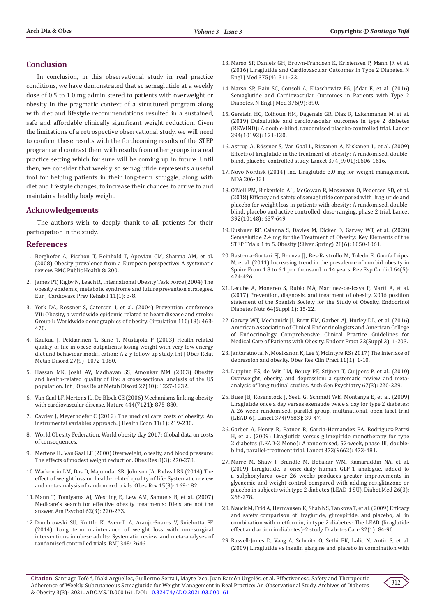## **Conclusion**

In conclusion, in this observational study in real practice conditions, we have demonstrated that sc semaglutide at a weekly dose of 0.5 to 1.0 mg administered to patients with overweight or obesity in the pragmatic context of a structured program along with diet and lifestyle recommendations resulted in a sustained, safe and affordable clinically significant weight reduction. Given the limitations of a retrospective observational study, we will need to confirm these results with the forthcoming results of the STEP program and contrast them with results from other groups in a real practice setting which for sure will be coming up in future. Until then, we consider that weekly sc semaglutide represents a useful tool for helping patients in their long-term struggle, along with diet and lifestyle changes, to increase their chances to arrive to and maintain a healthy body weight.

## **Acknowledgements**

The authors wish to deeply thank to all patients for their participation in the study.

#### **References**

- 1. [Berghofer A, Pischon T, Reinhold T, Apovian CM, Sharma AM, et al.](https://pubmed.ncbi.nlm.nih.gov/18533989/)  [\(2008\) Obesity prevalence from a European perspective: A systematic](https://pubmed.ncbi.nlm.nih.gov/18533989/)  [review. BMC Public Health 8: 200.](https://pubmed.ncbi.nlm.nih.gov/18533989/)
- 2. [James PT, Rigby N, Leach R, International Obesity Task Force \(2004\) The](https://pubmed.ncbi.nlm.nih.gov/15167200/)  [obesity epidemic, metabolic syndrome and future prevention strategies.](https://pubmed.ncbi.nlm.nih.gov/15167200/)  [Eur J Cardiovasc Prev Rehabil 11\(1\): 3-8.](https://pubmed.ncbi.nlm.nih.gov/15167200/)
- 3. [York DA, Rossner S, Caterson I, et al. \(2004\) Prevention conference](https://pubmed.ncbi.nlm.nih.gov/15520330/)  [VII: Obesity, a worldwide epidemic related to heart disease and stroke:](https://pubmed.ncbi.nlm.nih.gov/15520330/)  [Group I: Worldwide demographics of obesity. Circulation 110\(18\): 463-](https://pubmed.ncbi.nlm.nih.gov/15520330/) [470.](https://pubmed.ncbi.nlm.nih.gov/15520330/)
- 4. [Kaukua J, Pekkarinen T, Sane T, Mustajoki P \(2003\) Health-related](https://pubmed.ncbi.nlm.nih.gov/12917713/)  [quality of life in obese outpatients losing weight with very-low-energy](https://pubmed.ncbi.nlm.nih.gov/12917713/)  [diet and behaviour modifi cation: A 2-y follow-up study. Int J Obes Relat](https://pubmed.ncbi.nlm.nih.gov/12917713/)  [Metab Disord 27\(9\): 1072-1080.](https://pubmed.ncbi.nlm.nih.gov/12917713/)
- 5. [Hassan MK, Joshi AV, Madhavan SS, Amonkar MM \(2003\) Obesity](https://pubmed.ncbi.nlm.nih.gov/14513071/)  [and health-related quality of life: a cross-sectional analysis of the US](https://pubmed.ncbi.nlm.nih.gov/14513071/)  [population. Int J Obes Relat Metab Disord 27\(10\): 1227-1232.](https://pubmed.ncbi.nlm.nih.gov/14513071/)
- 6. [Van Gaal LF, Mertens IL, De Block CE \(2006\) Mechanisms linking obesity](https://pubmed.ncbi.nlm.nih.gov/17167476/)  [with cardiovascular disease. Nature 444\(7121\): 875-880.](https://pubmed.ncbi.nlm.nih.gov/17167476/)
- 7. [Cawley J, Meyerhoefer C \(2012\) The medical care costs of obesity: An](https://pubmed.ncbi.nlm.nih.gov/22094013/)  [instrumental variables approach. J Health Econ 31\(1\): 219-230.](https://pubmed.ncbi.nlm.nih.gov/22094013/)
- 8. World Obesity Federation. World obesity day 2017: Global data on costs of consequences.
- 9. [Mertens IL, Van Gaal LF \(2000\) Overweight, obesity, and blood pressure:](https://pubmed.ncbi.nlm.nih.gov/10832771/)  [The effects of modest weight reduction. Obes Res 8\(3\): 270-278.](https://pubmed.ncbi.nlm.nih.gov/10832771/)
- 10. [Warkentin LM, Das D, Majumdar SR, Johnson JA, Padwal RS \(2014\) The](https://pubmed.ncbi.nlm.nih.gov/24118750/)  [effect of weight loss on health-related quality of life: Systematic review](https://pubmed.ncbi.nlm.nih.gov/24118750/)  [and meta-analysis of randomized trials. Obes Rev 15\(3\): 169-182.](https://pubmed.ncbi.nlm.nih.gov/24118750/)
- 11. [Mann T, Tomiyama AJ, Westling E, Lew AM, Samuels B, et al. \(2007\)](https://pubmed.ncbi.nlm.nih.gov/17469900/)  [Medicare's search for effective obesity treatments: Diets are not the](https://pubmed.ncbi.nlm.nih.gov/17469900/)  [answer. Am Psychol 62\(3\): 220-233.](https://pubmed.ncbi.nlm.nih.gov/17469900/)
- 12. [Dombrowski SU, Knittle K, Avenell A, Araujo-Soares V, Sniehotta FF](https://pubmed.ncbi.nlm.nih.gov/25134100/)  [\(2014\) Long term maintenance of weight loss with non-surgical](https://pubmed.ncbi.nlm.nih.gov/25134100/)  [interventions in obese adults: Systematic review and meta-analyses of](https://pubmed.ncbi.nlm.nih.gov/25134100/)  [randomised controlled trials. BMJ 348: 2646.](https://pubmed.ncbi.nlm.nih.gov/25134100/)
- 13. [Marso SP, Daniels GH, Brown-Frandsen K, Kristensen P, Mann JF, et al.](https://pubmed.ncbi.nlm.nih.gov/27295427/) [\(2016\) Liraglutide and Cardiovascular Outcomes in Type 2 Diabetes. N](https://pubmed.ncbi.nlm.nih.gov/27295427/) [Engl J Med 375\(4\): 311-22.](https://pubmed.ncbi.nlm.nih.gov/27295427/)
- 14. [Marso SP, Bain SC, Consoli A, Eliaschewitz FG, Jódar E, et al. \(2016\)](https://pubmed.ncbi.nlm.nih.gov/28252261/) [Semaglutide and Cardiovascular Outcomes in Patients with Type 2](https://pubmed.ncbi.nlm.nih.gov/28252261/) [Diabetes. N Engl J Med 376\(9\): 890.](https://pubmed.ncbi.nlm.nih.gov/28252261/)
- 15. [Gerstein HC, Colhoun HM, Dagenais GR, Diaz R, Lakshmanan M, et al.](https://pubmed.ncbi.nlm.nih.gov/31189511/) [\(2019\) Dulaglutide and cardiovascular outcomes in type 2 diabetes](https://pubmed.ncbi.nlm.nih.gov/31189511/) [\(REWIND\): A double-blind, randomised placebo-controlled trial. Lancet](https://pubmed.ncbi.nlm.nih.gov/31189511/) [394\(10193\): 121-130.](https://pubmed.ncbi.nlm.nih.gov/31189511/)
- 16. [Astrup A, Rössner S, Van Gaal L, Rissanen A, Niskanen L, et al. \(2009\)](https://pubmed.ncbi.nlm.nih.gov/19853906/) [Effects of liraglutide in the treatment of obesity: A randomised, double](https://pubmed.ncbi.nlm.nih.gov/19853906/)[blind, placebo-controlled study. Lancet 374\(9701\):1606-1616.](https://pubmed.ncbi.nlm.nih.gov/19853906/)
- 17. Novo Nordisk (2014) Inc. Liraglutide 3.0 mg for weight management. NDA 206-321
- 18. O['Neil PM, Birkenfeld AL, McGowan B, Mosenzon O, Pedersen SD, et al.](https://www.thelancet.com/journals/lancet/article/PIIS01406736(18)317732/fulltext) [\(2018\) Efficacy and safety of semaglutide compared with liraglutide and](https://www.thelancet.com/journals/lancet/article/PIIS01406736(18)317732/fulltext) [placebo for weight loss in patients with obesity: A randomised, double](https://www.thelancet.com/journals/lancet/article/PIIS01406736(18)317732/fulltext)[blind, placebo and active controlled, dose-ranging, phase 2 trial. Lancet](https://www.thelancet.com/journals/lancet/article/PIIS01406736(18)317732/fulltext) [392\(10148\): 637-649](https://www.thelancet.com/journals/lancet/article/PIIS01406736(18)317732/fulltext)
- 19. [Kushner RF, Calanna S, Davies M, Dicker D, Garvey WT, et al. \(2020\)](https://pubmed.ncbi.nlm.nih.gov/32441473/) [Semaglutide 2.4 mg for the Treatment of Obesity: Key Elements of the](https://pubmed.ncbi.nlm.nih.gov/32441473/) [STEP Trials 1 to 5. Obesity \(Silver Spring\) 28\(6\): 1050-1061.](https://pubmed.ncbi.nlm.nih.gov/32441473/)
- 20. Basterra-Gortari FJ, Beunza JJ, Bes-Rastrollo M, Toledo E, García López M, et al. (2011) Increasing trend in the prevalence of morbid obesity in Spain: From 1.8 to 6.1 per thousand in 14 years. Rev Esp Cardiol 64(5): 424-426.
- 21. [Lecube A, Monereo S, Rubio MÁ, Martínez-de-Icaya P, Martí A, et al.](https://pubmed.ncbi.nlm.nih.gov/27543006/) [\(2017\) Prevention, diagnosis, and treatment of obesity. 2016 position](https://pubmed.ncbi.nlm.nih.gov/27543006/) [statement of the Spanish Society for the Study of Obesity. Endocrinol](https://pubmed.ncbi.nlm.nih.gov/27543006/) [Diabetes Nutr 64\(Suppl 1\): 15-22.](https://pubmed.ncbi.nlm.nih.gov/27543006/)
- 22. [Garvey WT, Mechanick JI, Brett EM, Garber AJ, Hurley DL, et al. \(2016\)](https://www.sciencedirect.com/science/article/pii/S1530891X20446300) [American Association of Clinical Endocrinologists and American College](https://www.sciencedirect.com/science/article/pii/S1530891X20446300) [of Endocrinology Comprehensive Clinical Practice Guidelines for](https://www.sciencedirect.com/science/article/pii/S1530891X20446300) [Medical Care of Patients with Obesity. Endocr Pract 22\(Suppl 3\): 1-203.](https://www.sciencedirect.com/science/article/pii/S1530891X20446300)
- 23. [Jantaratnotai N, Mosikanon K, Lee Y, McIntyre RS \(2017\) The interface of](https://pubmed.ncbi.nlm.nih.gov/27498907/) [depression and obesity. Obes Res Clin Pract 11\(1\): 1-10.](https://pubmed.ncbi.nlm.nih.gov/27498907/)
- 24. [Luppino FS, de Wit LM, Bouvy PF, Stijnen T, Cuijpers P, et al. \(2010\)](https://pubmed.ncbi.nlm.nih.gov/20194822/) [Overweight, obesity, and depression: a systematic review and meta](https://pubmed.ncbi.nlm.nih.gov/20194822/)[analysis of longitudinal studies. Arch Gen Psychiatry 67\(3\): 220-229.](https://pubmed.ncbi.nlm.nih.gov/20194822/)
- 25. [Buse JB, Rosenstock J, Sesti G, Schmidt WE, Montanya E, et al. \(2009\)](https://pubmed.ncbi.nlm.nih.gov/19515413/) [Liraglutide once a day versus exenatide twice a day for type 2 diabetes:](https://pubmed.ncbi.nlm.nih.gov/19515413/) [A 26-week randomised, parallel-group, multinational, open-label trial](https://pubmed.ncbi.nlm.nih.gov/19515413/) [\(LEAD-6\). Lancet 374\(9683\): 39-47.](https://pubmed.ncbi.nlm.nih.gov/19515413/)
- 26. [Garber A, Henry R, Ratner R, Garcia-Hernandez PA, Rodriguez-Pattzi](https://pubmed.ncbi.nlm.nih.gov/18819705/) [H, et al. \(2009\) Liraglutide versus glimepiride monotherapy for type](https://pubmed.ncbi.nlm.nih.gov/18819705/) [2 diabetes \(LEAD-3 Mono\): A randomised, 52-week, phase III, double](https://pubmed.ncbi.nlm.nih.gov/18819705/)[blind, parallel-treatment trial. Lancet 373\(9662\): 473-481.](https://pubmed.ncbi.nlm.nih.gov/18819705/)
- 27. [Marre M, Shaw J, Brändle M, Bebakar WM, Kamaruddin NA, et al.](https://pubmed.ncbi.nlm.nih.gov/19317822/) [\(2009\) Liraglutide, a once-daily human GLP-1 analogue, added to](https://pubmed.ncbi.nlm.nih.gov/19317822/) [a sulphonylurea over 26 weeks produces greater improvements in](https://pubmed.ncbi.nlm.nih.gov/19317822/) [glycaemic and weight control compared with adding rosiglitazone or](https://pubmed.ncbi.nlm.nih.gov/19317822/) [placebo in subjects with type 2 diabetes \(LEAD-1 SU\). Diabet Med 26\(3\):](https://pubmed.ncbi.nlm.nih.gov/19317822/) [268-278.](https://pubmed.ncbi.nlm.nih.gov/19317822/)
- 28. [Nauck M, Frid A, Hermansen K, Shah NS, Tankova T, et al. \(2009\) Efficacy](https://pubmed.ncbi.nlm.nih.gov/18931095/) [and safety comparison of liraglutide, glimepiride, and placebo, all in](https://pubmed.ncbi.nlm.nih.gov/18931095/) [combination with metformin, in type 2 diabetes: The LEAD \(liraglutide](https://pubmed.ncbi.nlm.nih.gov/18931095/) [effect and action in diabetes\)-2 study. Diabetes Care 32\(1\): 84-90.](https://pubmed.ncbi.nlm.nih.gov/18931095/)
- 29. [Russell-Jones D, Vaag A, Schmitz O, Sethi BK, Lalic N, Antic S, et al.](https://pubmed.ncbi.nlm.nih.gov/19688338/) [\(2009\) Liraglutide vs insulin glargine and placebo in combination with](https://pubmed.ncbi.nlm.nih.gov/19688338/)